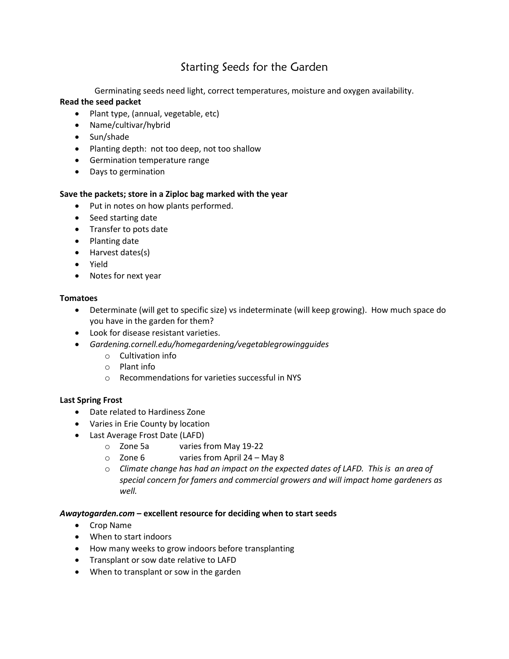# Starting Seeds for the Garden

Germinating seeds need light, correct temperatures, moisture and oxygen availability.

### **Read the seed packet**

- Plant type, (annual, vegetable, etc)
- Name/cultivar/hybrid
- Sun/shade
- Planting depth: not too deep, not too shallow
- Germination temperature range
- Days to germination

### **Save the packets; store in a Ziploc bag marked with the year**

- Put in notes on how plants performed.
- Seed starting date
- Transfer to pots date
- Planting date
- Harvest dates(s)
- Yield
- Notes for next year

#### **Tomatoes**

- Determinate (will get to specific size) vs indeterminate (will keep growing). How much space do you have in the garden for them?
- Look for disease resistant varieties.
- *Gardening.cornell.edu/homegardening/vegetablegrowingguides*
	- o Cultivation info
	- o Plant info
	- o Recommendations for varieties successful in NYS

### **Last Spring Frost**

- Date related to Hardiness Zone
- Varies in Erie County by location
- Last Average Frost Date (LAFD)
	- o Zone 5a varies from May 19-22
	- o Zone 6 varies from April 24 May 8
	- o *Climate change has had an impact on the expected dates of LAFD. This is an area of special concern for famers and commercial growers and will impact home gardeners as well.*

### *Awaytogarden.com* **– excellent resource for deciding when to start seeds**

- Crop Name
- When to start indoors
- How many weeks to grow indoors before transplanting
- Transplant or sow date relative to LAFD
- When to transplant or sow in the garden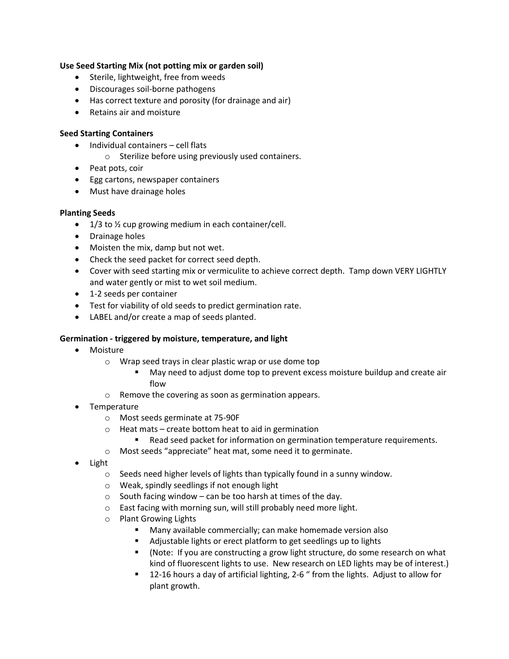## **Use Seed Starting Mix (not potting mix or garden soil)**

- Sterile, lightweight, free from weeds
- Discourages soil-borne pathogens
- Has correct texture and porosity (for drainage and air)
- Retains air and moisture

### **Seed Starting Containers**

- Individual containers cell flats
	- o Sterilize before using previously used containers.
- Peat pots, coir
- Egg cartons, newspaper containers
- Must have drainage holes

### **Planting Seeds**

- 1/3 to <sup>1</sup>/<sub>2</sub> cup growing medium in each container/cell.
- Drainage holes
- Moisten the mix, damp but not wet.
- Check the seed packet for correct seed depth.
- Cover with seed starting mix or vermiculite to achieve correct depth. Tamp down VERY LIGHTLY and water gently or mist to wet soil medium.
- 1-2 seeds per container
- Test for viability of old seeds to predict germination rate.
- LABEL and/or create a map of seeds planted.

### **Germination - triggered by moisture, temperature, and light**

- Moisture
	- o Wrap seed trays in clear plastic wrap or use dome top
		- May need to adjust dome top to prevent excess moisture buildup and create air flow
	- o Remove the covering as soon as germination appears.
- **Temperature** 
	- o Most seeds germinate at 75-90F
	- $\circ$  Heat mats create bottom heat to aid in germination
		- Read seed packet for information on germination temperature requirements.
	- o Most seeds "appreciate" heat mat, some need it to germinate.
- Light
	- o Seeds need higher levels of lights than typically found in a sunny window.
	- o Weak, spindly seedlings if not enough light
	- $\circ$  South facing window can be too harsh at times of the day.
	- o East facing with morning sun, will still probably need more light.
	- o Plant Growing Lights
		- Many available commercially; can make homemade version also
		- Adjustable lights or erect platform to get seedlings up to lights
		- (Note: If you are constructing a grow light structure, do some research on what kind of fluorescent lights to use. New research on LED lights may be of interest.)
		- 12-16 hours a day of artificial lighting, 2-6 " from the lights. Adjust to allow for plant growth.